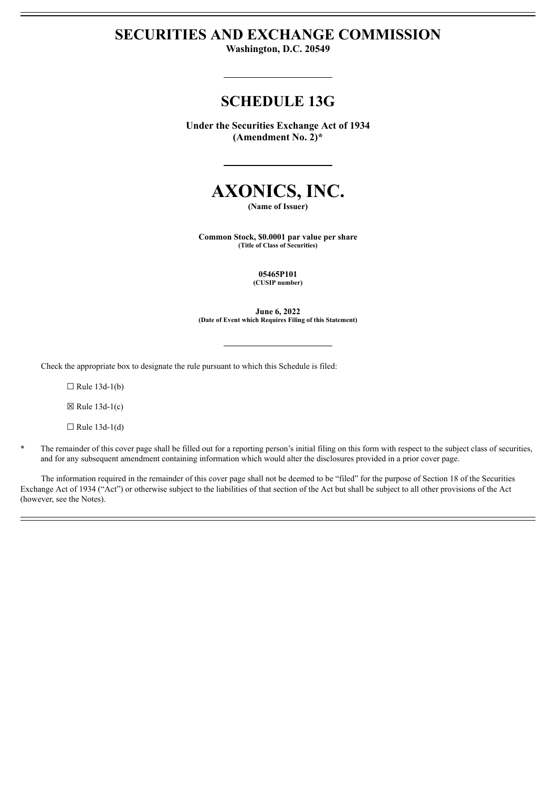# **SECURITIES AND EXCHANGE COMMISSION**

**Washington, D.C. 20549**

# **SCHEDULE 13G**

**Under the Securities Exchange Act of 1934 (Amendment No. 2)\***



**(Name of Issuer)**

**Common Stock, \$0.0001 par value per share (Title of Class of Securities)**

> **05465P101 (CUSIP number)**

**June 6, 2022 (Date of Event which Requires Filing of this Statement)**

Check the appropriate box to designate the rule pursuant to which this Schedule is filed:

 $\Box$  Rule 13d-1(b)

 $\boxtimes$  Rule 13d-1(c)

 $\Box$  Rule 13d-1(d)

\* The remainder of this cover page shall be filled out for a reporting person's initial filing on this form with respect to the subject class of securities, and for any subsequent amendment containing information which would alter the disclosures provided in a prior cover page.

The information required in the remainder of this cover page shall not be deemed to be "filed" for the purpose of Section 18 of the Securities Exchange Act of 1934 ("Act") or otherwise subject to the liabilities of that section of the Act but shall be subject to all other provisions of the Act (however, see the Notes).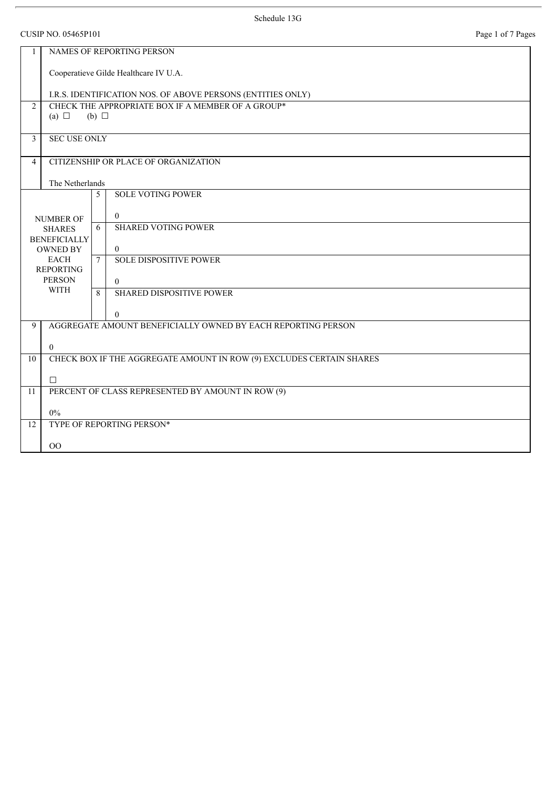|                                        | <b>CUSIP NO. 05465P101</b>            |                 |                                                                      | Page 1 of 7 Pages |  |  |
|----------------------------------------|---------------------------------------|-----------------|----------------------------------------------------------------------|-------------------|--|--|
|                                        | NAMES OF REPORTING PERSON             |                 |                                                                      |                   |  |  |
|                                        | Cooperatieve Gilde Healthcare IV U.A. |                 |                                                                      |                   |  |  |
|                                        |                                       |                 | I.R.S. IDENTIFICATION NOS. OF ABOVE PERSONS (ENTITIES ONLY)          |                   |  |  |
| $\overline{2}$                         | (a) $\Box$                            | $(b)$ $\square$ | CHECK THE APPROPRIATE BOX IF A MEMBER OF A GROUP*                    |                   |  |  |
| $\overline{3}$                         | <b>SEC USE ONLY</b>                   |                 |                                                                      |                   |  |  |
| $\overline{4}$                         |                                       |                 | CITIZENSHIP OR PLACE OF ORGANIZATION                                 |                   |  |  |
|                                        | The Netherlands                       |                 |                                                                      |                   |  |  |
|                                        |                                       | 5               | <b>SOLE VOTING POWER</b>                                             |                   |  |  |
|                                        | <b>NUMBER OF</b>                      |                 | $\overline{0}$                                                       |                   |  |  |
|                                        | <b>SHARES</b>                         | 6               | <b>SHARED VOTING POWER</b>                                           |                   |  |  |
| <b>BENEFICIALLY</b><br><b>OWNED BY</b> |                                       |                 | $\overline{0}$                                                       |                   |  |  |
|                                        | <b>EACH</b><br><b>REPORTING</b>       | $\tau$          | <b>SOLE DISPOSITIVE POWER</b>                                        |                   |  |  |
|                                        | <b>PERSON</b>                         |                 | $\theta$                                                             |                   |  |  |
|                                        | <b>WITH</b>                           | 8               | <b>SHARED DISPOSITIVE POWER</b>                                      |                   |  |  |
|                                        |                                       |                 | $\mathbf{0}$                                                         |                   |  |  |
| 9                                      |                                       |                 | AGGREGATE AMOUNT BENEFICIALLY OWNED BY EACH REPORTING PERSON         |                   |  |  |
|                                        | $\theta$                              |                 |                                                                      |                   |  |  |
| 10                                     |                                       |                 | CHECK BOX IF THE AGGREGATE AMOUNT IN ROW (9) EXCLUDES CERTAIN SHARES |                   |  |  |
|                                        | $\Box$                                |                 |                                                                      |                   |  |  |
| 11                                     |                                       |                 | PERCENT OF CLASS REPRESENTED BY AMOUNT IN ROW (9)                    |                   |  |  |
|                                        | $0\%$                                 |                 |                                                                      |                   |  |  |
| 12                                     |                                       |                 | TYPE OF REPORTING PERSON*                                            |                   |  |  |
|                                        | $\overline{O}O$                       |                 |                                                                      |                   |  |  |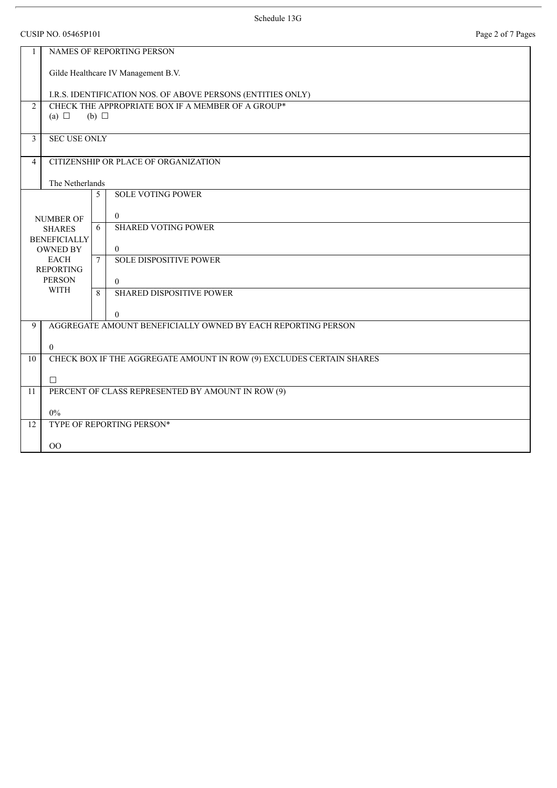CUSIP NO. 05465P101 Page 2 of 7 Pages

| Page 2 of 7 Pag |  |  |  |  |
|-----------------|--|--|--|--|
|-----------------|--|--|--|--|

| $\mathbf{1}$                           | NAMES OF REPORTING PERSON           |                 |                                                                          |  |  |
|----------------------------------------|-------------------------------------|-----------------|--------------------------------------------------------------------------|--|--|
|                                        | Gilde Healthcare IV Management B.V. |                 |                                                                          |  |  |
|                                        |                                     |                 | I.R.S. IDENTIFICATION NOS. OF ABOVE PERSONS (ENTITIES ONLY)              |  |  |
| $\overline{2}$                         |                                     |                 | CHECK THE APPROPRIATE BOX IF A MEMBER OF A GROUP*                        |  |  |
|                                        | (a) $\Box$                          | $(b)$ $\square$ |                                                                          |  |  |
| 3                                      | <b>SEC USE ONLY</b>                 |                 |                                                                          |  |  |
| $\overline{4}$                         |                                     |                 | CITIZENSHIP OR PLACE OF ORGANIZATION                                     |  |  |
|                                        | The Netherlands                     |                 |                                                                          |  |  |
|                                        |                                     | 5               | <b>SOLE VOTING POWER</b>                                                 |  |  |
|                                        | <b>NUMBER OF</b>                    |                 | $\boldsymbol{0}$                                                         |  |  |
|                                        | <b>SHARES</b>                       |                 | <b>SHARED VOTING POWER</b>                                               |  |  |
| <b>BENEFICIALLY</b><br><b>OWNED BY</b> |                                     |                 | $\overline{0}$                                                           |  |  |
| <b>EACH</b>                            |                                     | $\overline{7}$  | <b>SOLE DISPOSITIVE POWER</b>                                            |  |  |
|                                        | <b>REPORTING</b><br><b>PERSON</b>   |                 | $\overline{0}$                                                           |  |  |
|                                        | <b>WITH</b>                         | $\mathbf{8}$    | <b>SHARED DISPOSITIVE POWER</b>                                          |  |  |
|                                        |                                     |                 |                                                                          |  |  |
| 9                                      |                                     |                 | $\theta$<br>AGGREGATE AMOUNT BENEFICIALLY OWNED BY EACH REPORTING PERSON |  |  |
|                                        |                                     |                 |                                                                          |  |  |
| $10\,$                                 | $\theta$                            |                 | CHECK BOX IF THE AGGREGATE AMOUNT IN ROW (9) EXCLUDES CERTAIN SHARES     |  |  |
|                                        |                                     |                 |                                                                          |  |  |
| 11                                     | $\Box$                              |                 | PERCENT OF CLASS REPRESENTED BY AMOUNT IN ROW (9)                        |  |  |
|                                        |                                     |                 |                                                                          |  |  |
|                                        | $0\%$                               |                 | TYPE OF REPORTING PERSON*                                                |  |  |
| 12                                     |                                     |                 |                                                                          |  |  |
|                                        | O <sub>O</sub>                      |                 |                                                                          |  |  |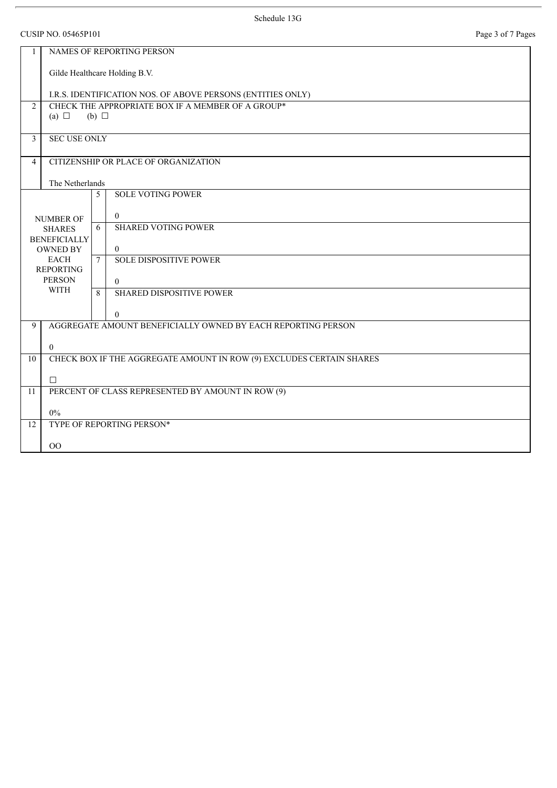|                | <b>CUSIP NO. 05465P101</b>             |                 |                                                                      | Page 3 of 7 Pages |  |  |
|----------------|----------------------------------------|-----------------|----------------------------------------------------------------------|-------------------|--|--|
| $\mathbf{1}$   | NAMES OF REPORTING PERSON              |                 |                                                                      |                   |  |  |
|                |                                        |                 | Gilde Healthcare Holding B.V.                                        |                   |  |  |
|                |                                        |                 | I.R.S. IDENTIFICATION NOS. OF ABOVE PERSONS (ENTITIES ONLY)          |                   |  |  |
| 2              | (a) $\Box$                             | $(b)$ $\square$ | CHECK THE APPROPRIATE BOX IF A MEMBER OF A GROUP*                    |                   |  |  |
| $\mathbf{3}$   | <b>SEC USE ONLY</b>                    |                 |                                                                      |                   |  |  |
| $\overline{4}$ |                                        |                 | CITIZENSHIP OR PLACE OF ORGANIZATION                                 |                   |  |  |
|                | The Netherlands                        |                 |                                                                      |                   |  |  |
|                |                                        | 5               | <b>SOLE VOTING POWER</b>                                             |                   |  |  |
|                | <b>NUMBER OF</b>                       |                 | $\overline{0}$                                                       |                   |  |  |
|                | <b>SHARES</b>                          |                 | <b>SHARED VOTING POWER</b>                                           |                   |  |  |
|                | <b>BENEFICIALLY</b><br><b>OWNED BY</b> |                 | $\overline{0}$                                                       |                   |  |  |
|                | <b>EACH</b>                            | $\tau$          | <b>SOLE DISPOSITIVE POWER</b>                                        |                   |  |  |
|                | <b>REPORTING</b><br><b>PERSON</b>      |                 | $\theta$                                                             |                   |  |  |
|                | WITH                                   | 8               | <b>SHARED DISPOSITIVE POWER</b>                                      |                   |  |  |
|                |                                        |                 | $\overline{0}$                                                       |                   |  |  |
| 9              |                                        |                 | AGGREGATE AMOUNT BENEFICIALLY OWNED BY EACH REPORTING PERSON         |                   |  |  |
|                | $\theta$                               |                 |                                                                      |                   |  |  |
| 10             |                                        |                 | CHECK BOX IF THE AGGREGATE AMOUNT IN ROW (9) EXCLUDES CERTAIN SHARES |                   |  |  |
|                | $\Box$                                 |                 |                                                                      |                   |  |  |
| 11             |                                        |                 | PERCENT OF CLASS REPRESENTED BY AMOUNT IN ROW (9)                    |                   |  |  |
|                |                                        |                 |                                                                      |                   |  |  |
| 12             | $0\%$                                  |                 | TYPE OF REPORTING PERSON*                                            |                   |  |  |
|                |                                        |                 |                                                                      |                   |  |  |
|                | OO                                     |                 |                                                                      |                   |  |  |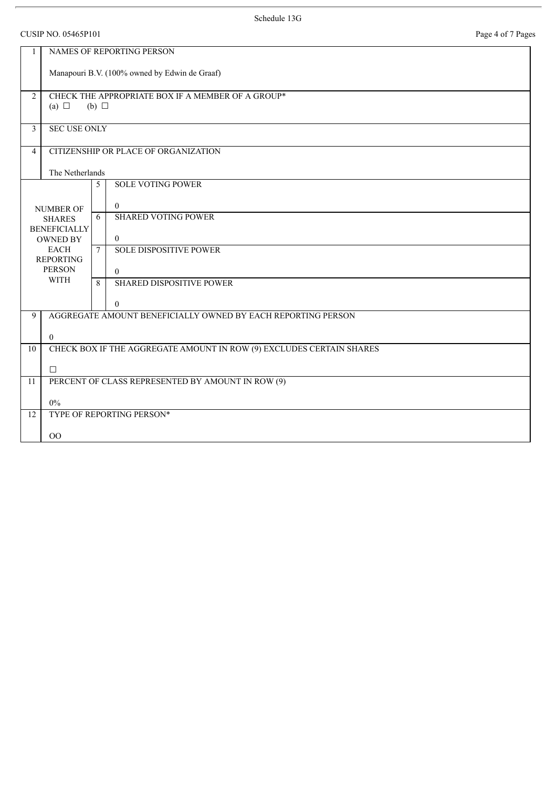CUSIP NO. 05465P101 Page 4 of 7 Pages

| $\mathbf{1}$                         | NAMES OF REPORTING PERSON                     |              |                                                                          |  |  |
|--------------------------------------|-----------------------------------------------|--------------|--------------------------------------------------------------------------|--|--|
|                                      | Manapouri B.V. (100% owned by Edwin de Graaf) |              |                                                                          |  |  |
| $\overline{2}$                       | (a) $\Box$                                    | $(b)$ $\Box$ | CHECK THE APPROPRIATE BOX IF A MEMBER OF A GROUP*                        |  |  |
|                                      |                                               |              |                                                                          |  |  |
| $\overline{3}$                       | <b>SEC USE ONLY</b>                           |              |                                                                          |  |  |
| 4                                    | CITIZENSHIP OR PLACE OF ORGANIZATION          |              |                                                                          |  |  |
|                                      | The Netherlands                               |              |                                                                          |  |  |
|                                      |                                               | 5            | <b>SOLE VOTING POWER</b>                                                 |  |  |
|                                      | <b>NUMBER OF</b>                              |              | $\overline{0}$                                                           |  |  |
| <b>SHARES</b><br><b>BENEFICIALLY</b> |                                               | 6            | <b>SHARED VOTING POWER</b>                                               |  |  |
| <b>OWNED BY</b>                      |                                               |              | $\overline{0}$                                                           |  |  |
|                                      | <b>EACH</b><br><b>REPORTING</b>               | $\tau$       | <b>SOLE DISPOSITIVE POWER</b>                                            |  |  |
|                                      | <b>PERSON</b><br><b>WITH</b>                  |              | $\theta$                                                                 |  |  |
|                                      |                                               | $\mathbf{8}$ | <b>SHARED DISPOSITIVE POWER</b>                                          |  |  |
| 9                                    |                                               |              | $\Omega$<br>AGGREGATE AMOUNT BENEFICIALLY OWNED BY EACH REPORTING PERSON |  |  |
|                                      |                                               |              |                                                                          |  |  |
| 10                                   | $\mathbf{0}$                                  |              | CHECK BOX IF THE AGGREGATE AMOUNT IN ROW (9) EXCLUDES CERTAIN SHARES     |  |  |
|                                      |                                               |              |                                                                          |  |  |
| 11                                   | $\Box$                                        |              | PERCENT OF CLASS REPRESENTED BY AMOUNT IN ROW (9)                        |  |  |
|                                      | $0\%$                                         |              |                                                                          |  |  |
| 12                                   |                                               |              | TYPE OF REPORTING PERSON*                                                |  |  |
|                                      | 00                                            |              |                                                                          |  |  |
|                                      |                                               |              |                                                                          |  |  |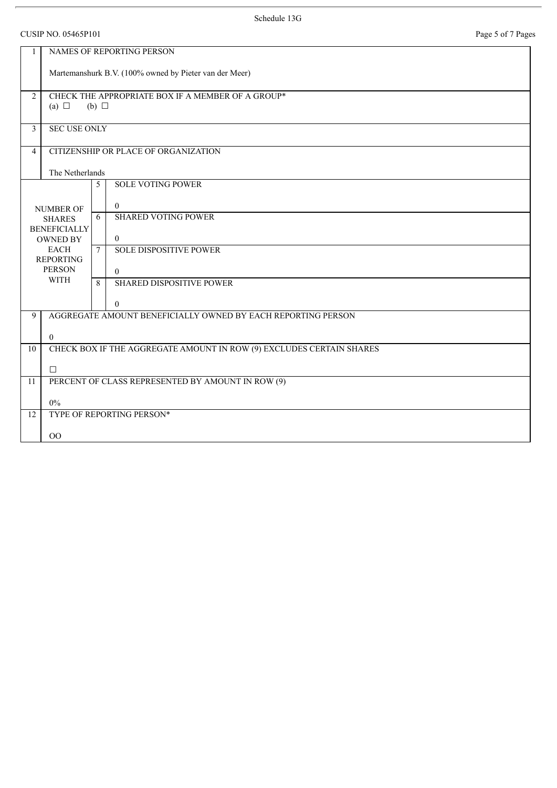## CUSIP NO. 05465P101 Page 5 of 7 Pages

| Page 5 of 7 Pages |  |  |  |  |
|-------------------|--|--|--|--|
|-------------------|--|--|--|--|

| $\mathbf{1}$    |                                                        | NAMES OF REPORTING PERSON                                            |  |  |  |
|-----------------|--------------------------------------------------------|----------------------------------------------------------------------|--|--|--|
|                 | Martemanshurk B.V. (100% owned by Pieter van der Meer) |                                                                      |  |  |  |
| $\overline{2}$  | (a) $\Box$                                             | CHECK THE APPROPRIATE BOX IF A MEMBER OF A GROUP*<br>$(b)$ $\square$ |  |  |  |
| $\mathbf{3}$    | <b>SEC USE ONLY</b>                                    |                                                                      |  |  |  |
| $\overline{4}$  |                                                        | CITIZENSHIP OR PLACE OF ORGANIZATION                                 |  |  |  |
|                 | The Netherlands                                        |                                                                      |  |  |  |
|                 |                                                        | <b>SOLE VOTING POWER</b><br>5                                        |  |  |  |
|                 | <b>NUMBER OF</b>                                       | $\overline{0}$                                                       |  |  |  |
|                 | <b>SHARES</b>                                          | <b>SHARED VOTING POWER</b><br>6                                      |  |  |  |
|                 | <b>BENEFICIALLY</b><br><b>OWNED BY</b>                 | $\overline{0}$                                                       |  |  |  |
|                 | <b>EACH</b><br><b>REPORTING</b>                        | <b>SOLE DISPOSITIVE POWER</b><br>$\tau$                              |  |  |  |
| <b>PERSON</b>   |                                                        | $\theta$                                                             |  |  |  |
|                 | <b>WITH</b>                                            | <b>SHARED DISPOSITIVE POWER</b><br>$\mathbf{8}$                      |  |  |  |
|                 |                                                        | $\overline{0}$                                                       |  |  |  |
| 9               |                                                        | AGGREGATE AMOUNT BENEFICIALLY OWNED BY EACH REPORTING PERSON         |  |  |  |
|                 | $\overline{0}$                                         |                                                                      |  |  |  |
| 10              |                                                        | CHECK BOX IF THE AGGREGATE AMOUNT IN ROW (9) EXCLUDES CERTAIN SHARES |  |  |  |
|                 | $\Box$                                                 |                                                                      |  |  |  |
| 11              |                                                        | PERCENT OF CLASS REPRESENTED BY AMOUNT IN ROW (9)                    |  |  |  |
|                 | $0\%$                                                  |                                                                      |  |  |  |
| $\overline{12}$ |                                                        | TYPE OF REPORTING PERSON*                                            |  |  |  |
|                 | OO                                                     |                                                                      |  |  |  |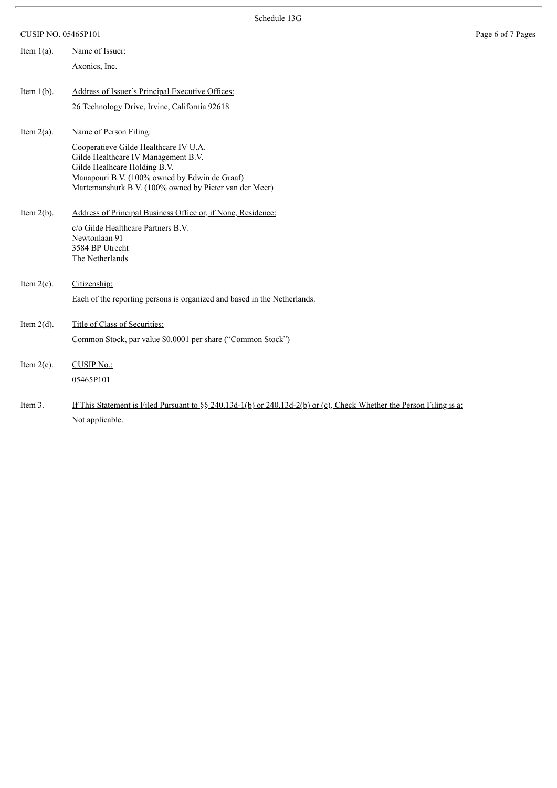CUSIP NO. 05465P101 Page 6 of 7 Pages

| Item $1(a)$ . | Name of Issuer:                                                                                                                                                                                                                                   |
|---------------|---------------------------------------------------------------------------------------------------------------------------------------------------------------------------------------------------------------------------------------------------|
|               | Axonics, Inc.                                                                                                                                                                                                                                     |
| Item $1(b)$ . | Address of Issuer's Principal Executive Offices:<br>26 Technology Drive, Irvine, California 92618                                                                                                                                                 |
| Item $2(a)$ . | Name of Person Filing:<br>Cooperatieve Gilde Healthcare IV U.A.<br>Gilde Healthcare IV Management B.V.<br>Gilde Healhcare Holding B.V.<br>Manapouri B.V. (100% owned by Edwin de Graaf)<br>Martemanshurk B.V. (100% owned by Pieter van der Meer) |
| Item $2(b)$ . | Address of Principal Business Office or, if None, Residence:<br>c/o Gilde Healthcare Partners B.V.<br>Newtonlaan 91<br>3584 BP Utrecht<br>The Netherlands                                                                                         |
| Item $2(c)$ . | Citizenship:<br>Each of the reporting persons is organized and based in the Netherlands.                                                                                                                                                          |
| Item $2(d)$ . | Title of Class of Securities:<br>Common Stock, par value \$0.0001 per share ("Common Stock")                                                                                                                                                      |
| Item $2(e)$ . | <b>CUSIP No.:</b><br>05465P101                                                                                                                                                                                                                    |
| Item 3.       | If This Statement is Filed Pursuant to $\S_8$ 240.13d-1(b) or 240.13d-2(b) or (c), Check Whether the Person Filing is a:<br>Not applicable.                                                                                                       |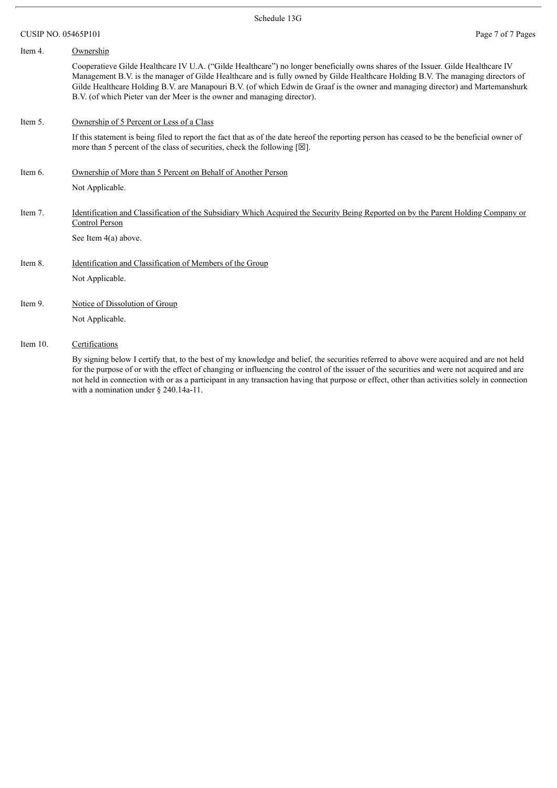| Item 4.     | Ownership                                                                                                                                                                                                                                                                                                                                                                                                                                                                          |
|-------------|------------------------------------------------------------------------------------------------------------------------------------------------------------------------------------------------------------------------------------------------------------------------------------------------------------------------------------------------------------------------------------------------------------------------------------------------------------------------------------|
|             | Cooperatieve Gilde Healthcare IV U.A. ("Gilde Healthcare") no longer beneficially owns shares of the Issuer. Gilde Healthcare IV<br>Management B.V. is the manager of Gilde Healthcare and is fully owned by Gilde Healthcare Holding B.V. The managing directors of<br>Gilde Healthcare Holding B.V. are Manapouri B.V. (of which Edwin de Graaf is the owner and managing director) and Martemanshurk<br>B.V. (of which Pieter van der Meer is the owner and managing director). |
| Item 5.     | Ownership of 5 Percent or Less of a Class                                                                                                                                                                                                                                                                                                                                                                                                                                          |
|             | If this statement is being filed to report the fact that as of the date hereof the reporting person has ceased to be the beneficial owner of<br>more than 5 percent of the class of securities, check the following $[\boxtimes]$ .                                                                                                                                                                                                                                                |
| Item 6.     | Ownership of More than 5 Percent on Behalf of Another Person                                                                                                                                                                                                                                                                                                                                                                                                                       |
|             | Not Applicable.                                                                                                                                                                                                                                                                                                                                                                                                                                                                    |
| Item 7.     | <u>Identification and Classification of the Subsidiary Which Acquired the Security Being Reported on by the Parent Holding Company or</u><br>Control Person                                                                                                                                                                                                                                                                                                                        |
|             | See Item $4(a)$ above.                                                                                                                                                                                                                                                                                                                                                                                                                                                             |
| Item 8.     | Identification and Classification of Members of the Group                                                                                                                                                                                                                                                                                                                                                                                                                          |
|             | Not Applicable.                                                                                                                                                                                                                                                                                                                                                                                                                                                                    |
| Item 9.     | Notice of Dissolution of Group                                                                                                                                                                                                                                                                                                                                                                                                                                                     |
|             | Not Applicable.                                                                                                                                                                                                                                                                                                                                                                                                                                                                    |
| Item $10$ . | Certifications                                                                                                                                                                                                                                                                                                                                                                                                                                                                     |
|             | $-11 - 11 - 0 = 1$<br>$\mathbf{1}$ $\mathbf{1}$ $\mathbf{1}$ $\mathbf{1}$ $\mathbf{1}$ $\mathbf{1}$ $\mathbf{1}$ $\mathbf{1}$ $\mathbf{1}$ $\mathbf{1}$ $\mathbf{1}$ $\mathbf{1}$ $\mathbf{1}$                                                                                                                                                                                                                                                                                     |

By signing below I certify that, to the best of my knowledge and belief, the securities referred to above were acquired and are not held for the purpose of or with the effect of changing or influencing the control of the issuer of the securities and were not acquired and are not held in connection with or as a participant in any transaction having that purpose or effect, other than activities solely in connection with a nomination under § 240.14a-11.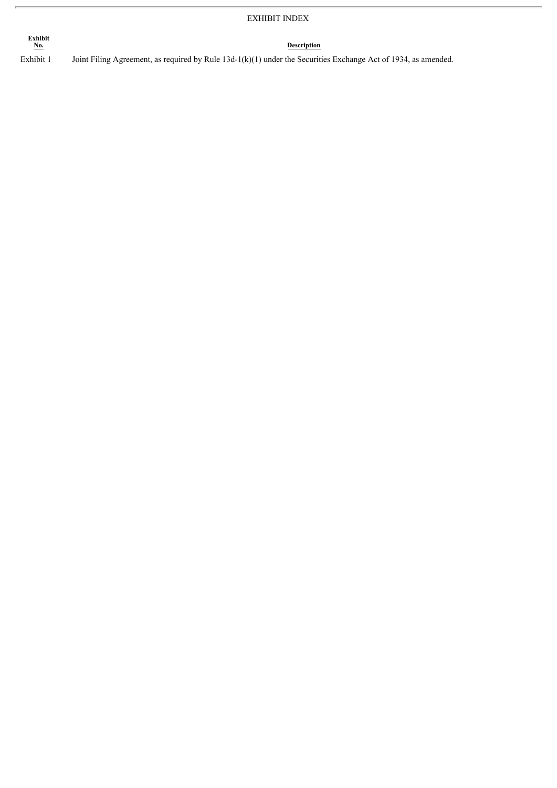## EXHIBIT INDEX

**Exhibit**

**Description** 

Exhibit 1 Joint Filing Agreement, as required by Rule 13d-1(k)(1) under the Securities Exchange Act of 1934, as amended.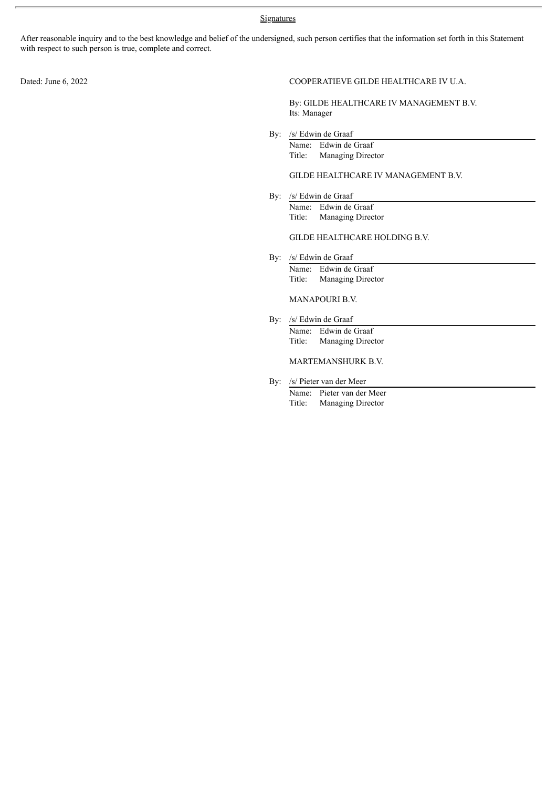## **Signatures**

After reasonable inquiry and to the best knowledge and belief of the undersigned, such person certifies that the information set forth in this Statement with respect to such person is true, complete and correct.

#### Dated: June 6, 2022 COOPERATIEVE GILDE HEALTHCARE IV U.A.

By: GILDE HEALTHCARE IV MANAGEMENT B.V. Its: Manager

By: /s/ Edwin de Graaf

Name: Edwin de Graaf Title: Managing Director

### GILDE HEALTHCARE IV MANAGEMENT B.V.

By: /s/ Edwin de Graaf Name: Edwin de Graaf Title: Managing Director

## GILDE HEALTHCARE HOLDING B.V.

By: /s/ Edwin de Graaf Name: Edwin de Graaf<br>Title: Managing Direc Managing Director

## MANAPOURI B.V.

By: /s/ Edwin de Graaf Name: Edwin de Graaf Title: Managing Director

## MARTEMANSHURK B.V.

By: /s/ Pieter van der Meer

Name: Pieter van der Meer Title: Managing Director